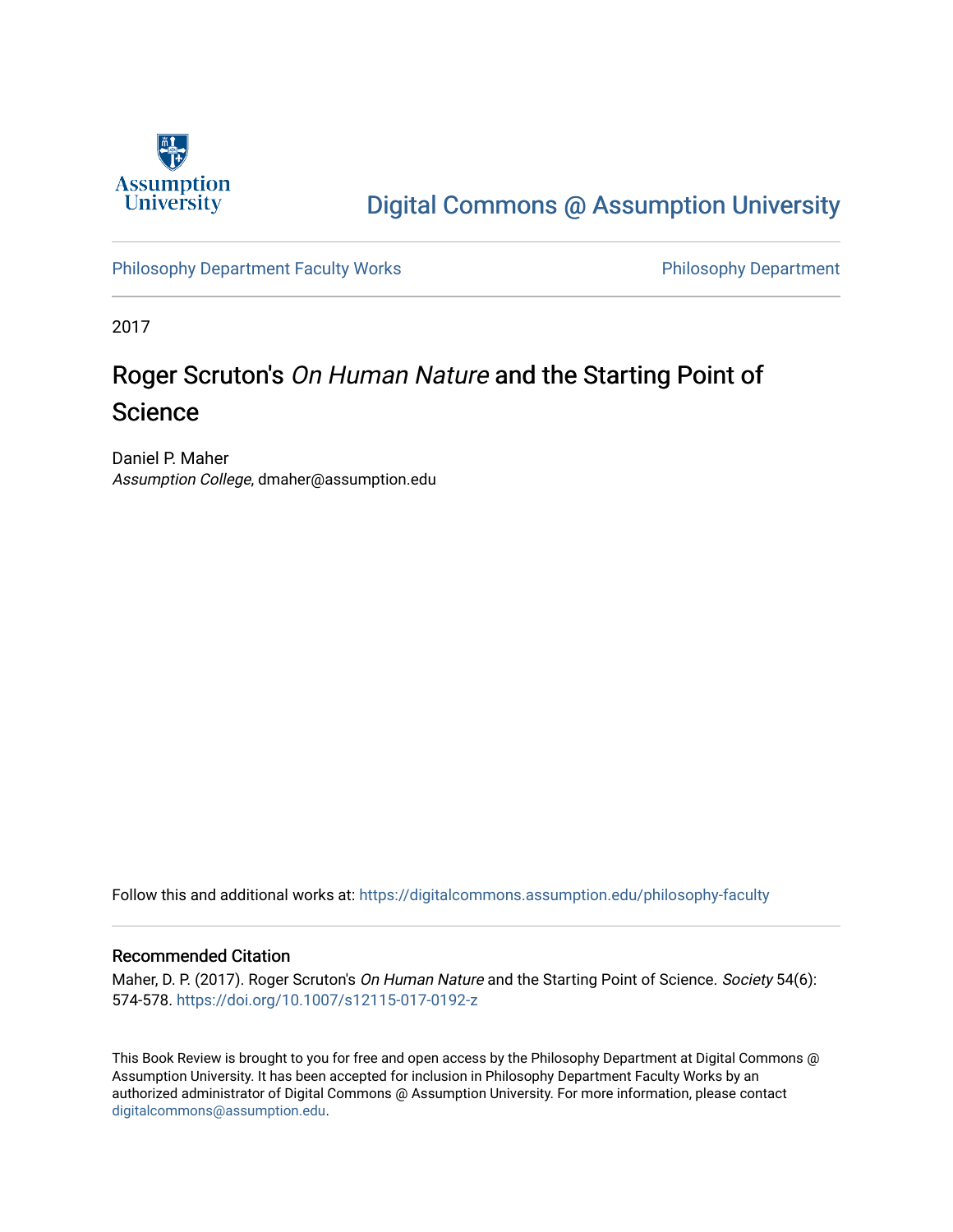

# [Digital Commons @ Assumption University](https://digitalcommons.assumption.edu/)

[Philosophy Department Faculty Works](https://digitalcommons.assumption.edu/philosophy-faculty) **Philosophy Department** 

2017

# Roger Scruton's On Human Nature and the Starting Point of Science

Daniel P. Maher Assumption College, dmaher@assumption.edu

Follow this and additional works at: [https://digitalcommons.assumption.edu/philosophy-faculty](https://digitalcommons.assumption.edu/philosophy-faculty?utm_source=digitalcommons.assumption.edu%2Fphilosophy-faculty%2F21&utm_medium=PDF&utm_campaign=PDFCoverPages) 

#### Recommended Citation

Maher, D. P. (2017). Roger Scruton's On Human Nature and the Starting Point of Science. Society 54(6): 574-578. <https://doi.org/10.1007/s12115-017-0192-z>

This Book Review is brought to you for free and open access by the Philosophy Department at Digital Commons @ Assumption University. It has been accepted for inclusion in Philosophy Department Faculty Works by an authorized administrator of Digital Commons @ Assumption University. For more information, please contact [digitalcommons@assumption.edu](mailto:digitalcommons@assumption.edu).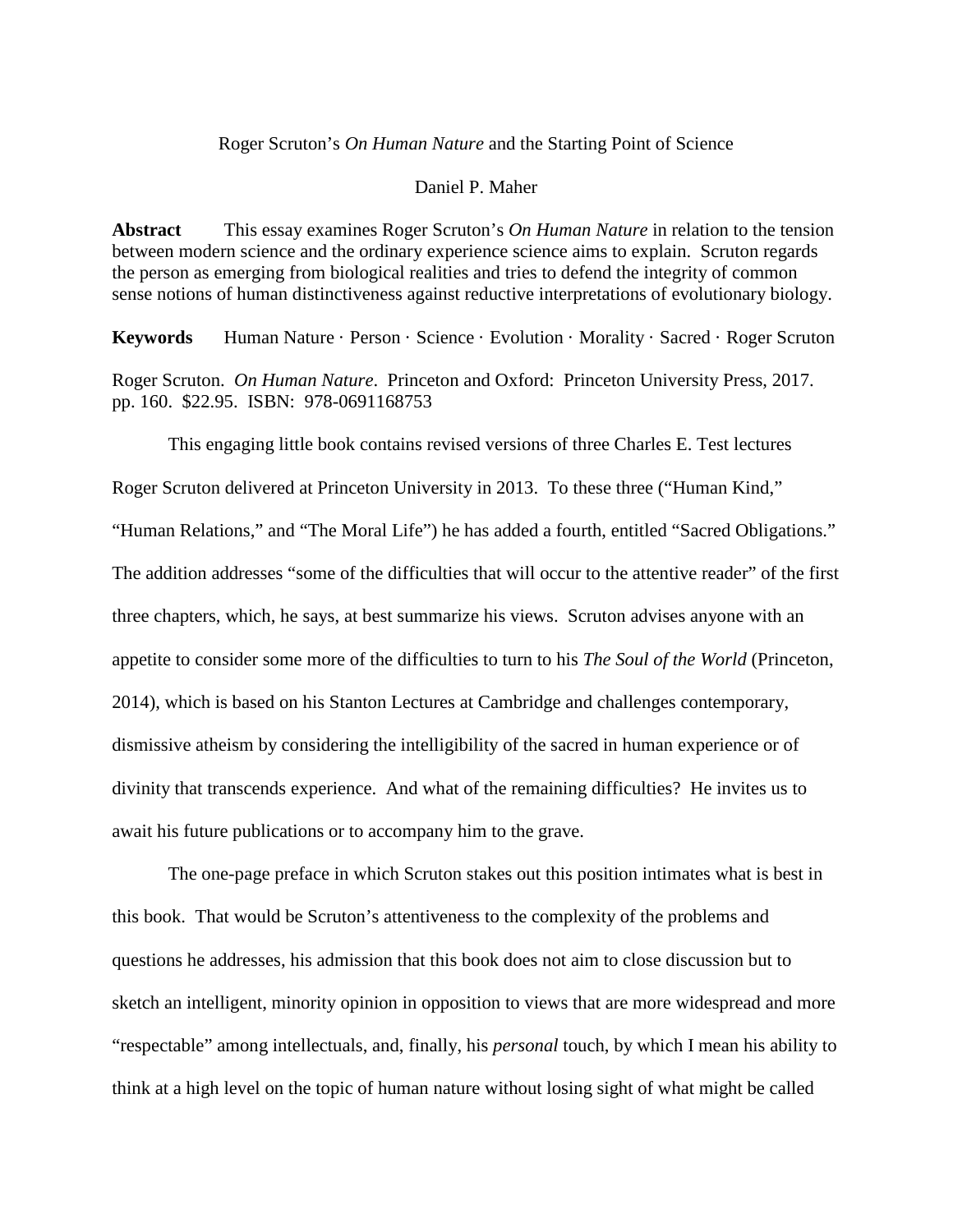### Roger Scruton's *On Human Nature* and the Starting Point of Science

#### Daniel P. Maher

**Abstract** This essay examines Roger Scruton's *On Human Nature* in relation to the tension between modern science and the ordinary experience science aims to explain. Scruton regards the person as emerging from biological realities and tries to defend the integrity of common sense notions of human distinctiveness against reductive interpretations of evolutionary biology.

**Keywords** Human Nature · Person · Science · Evolution · Morality · Sacred · Roger Scruton Roger Scruton. *On Human Nature*. Princeton and Oxford: Princeton University Press, 2017. pp. 160. \$22.95. ISBN: 978-0691168753

This engaging little book contains revised versions of three Charles E. Test lectures Roger Scruton delivered at Princeton University in 2013. To these three ("Human Kind," "Human Relations," and "The Moral Life") he has added a fourth, entitled "Sacred Obligations." The addition addresses "some of the difficulties that will occur to the attentive reader" of the first three chapters, which, he says, at best summarize his views. Scruton advises anyone with an appetite to consider some more of the difficulties to turn to his *The Soul of the World* (Princeton, 2014), which is based on his Stanton Lectures at Cambridge and challenges contemporary, dismissive atheism by considering the intelligibility of the sacred in human experience or of divinity that transcends experience. And what of the remaining difficulties? He invites us to await his future publications or to accompany him to the grave.

The one-page preface in which Scruton stakes out this position intimates what is best in this book. That would be Scruton's attentiveness to the complexity of the problems and questions he addresses, his admission that this book does not aim to close discussion but to sketch an intelligent, minority opinion in opposition to views that are more widespread and more "respectable" among intellectuals, and, finally, his *personal* touch, by which I mean his ability to think at a high level on the topic of human nature without losing sight of what might be called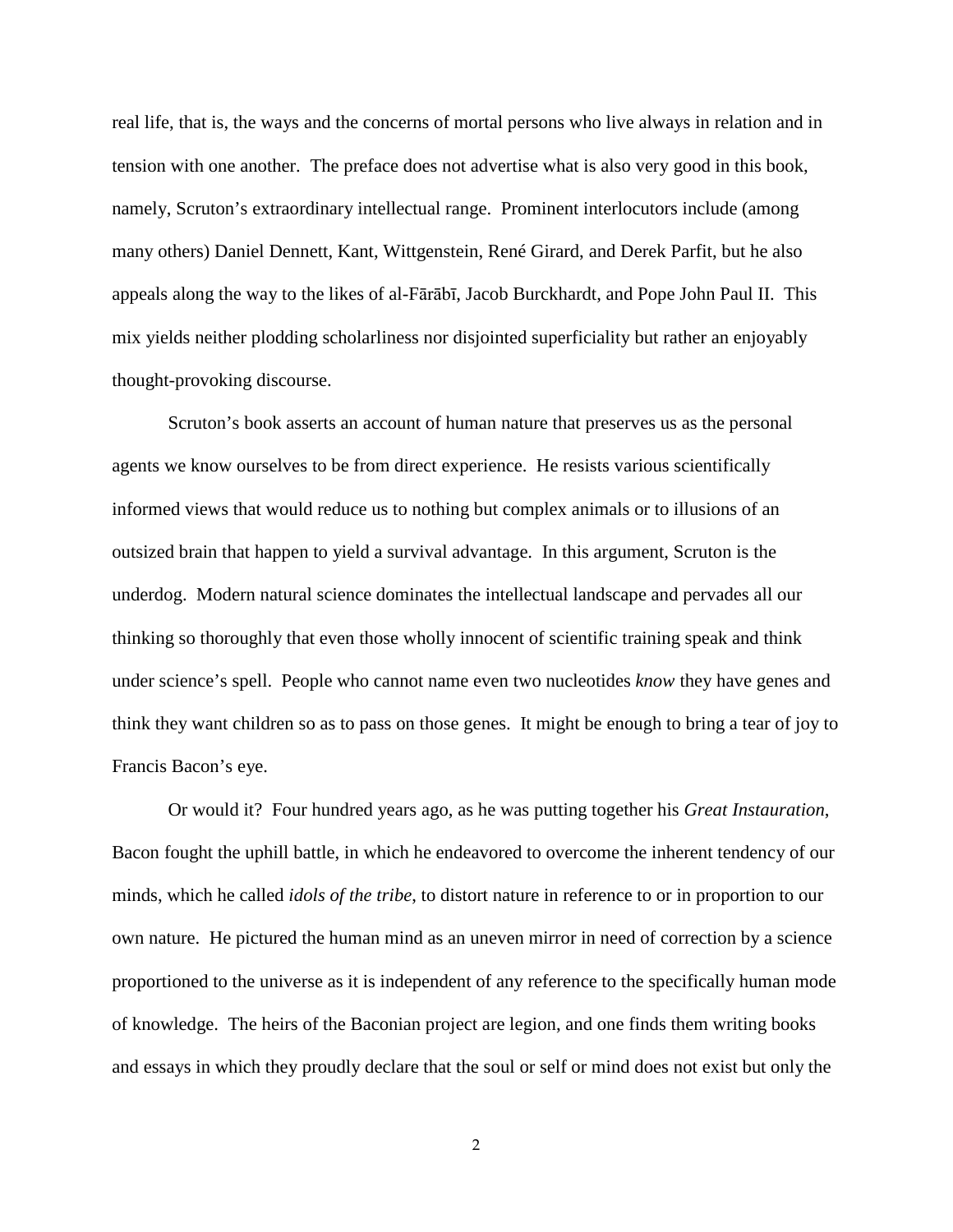real life, that is, the ways and the concerns of mortal persons who live always in relation and in tension with one another. The preface does not advertise what is also very good in this book, namely, Scruton's extraordinary intellectual range. Prominent interlocutors include (among many others) Daniel Dennett, Kant, Wittgenstein, René Girard, and Derek Parfit, but he also appeals along the way to the likes of al-Fārābī, Jacob Burckhardt, and Pope John Paul II. This mix yields neither plodding scholarliness nor disjointed superficiality but rather an enjoyably thought-provoking discourse.

Scruton's book asserts an account of human nature that preserves us as the personal agents we know ourselves to be from direct experience. He resists various scientifically informed views that would reduce us to nothing but complex animals or to illusions of an outsized brain that happen to yield a survival advantage. In this argument, Scruton is the underdog. Modern natural science dominates the intellectual landscape and pervades all our thinking so thoroughly that even those wholly innocent of scientific training speak and think under science's spell. People who cannot name even two nucleotides *know* they have genes and think they want children so as to pass on those genes. It might be enough to bring a tear of joy to Francis Bacon's eye.

Or would it? Four hundred years ago, as he was putting together his *Great Instauration*, Bacon fought the uphill battle, in which he endeavored to overcome the inherent tendency of our minds, which he called *idols of the tribe*, to distort nature in reference to or in proportion to our own nature. He pictured the human mind as an uneven mirror in need of correction by a science proportioned to the universe as it is independent of any reference to the specifically human mode of knowledge. The heirs of the Baconian project are legion, and one finds them writing books and essays in which they proudly declare that the soul or self or mind does not exist but only the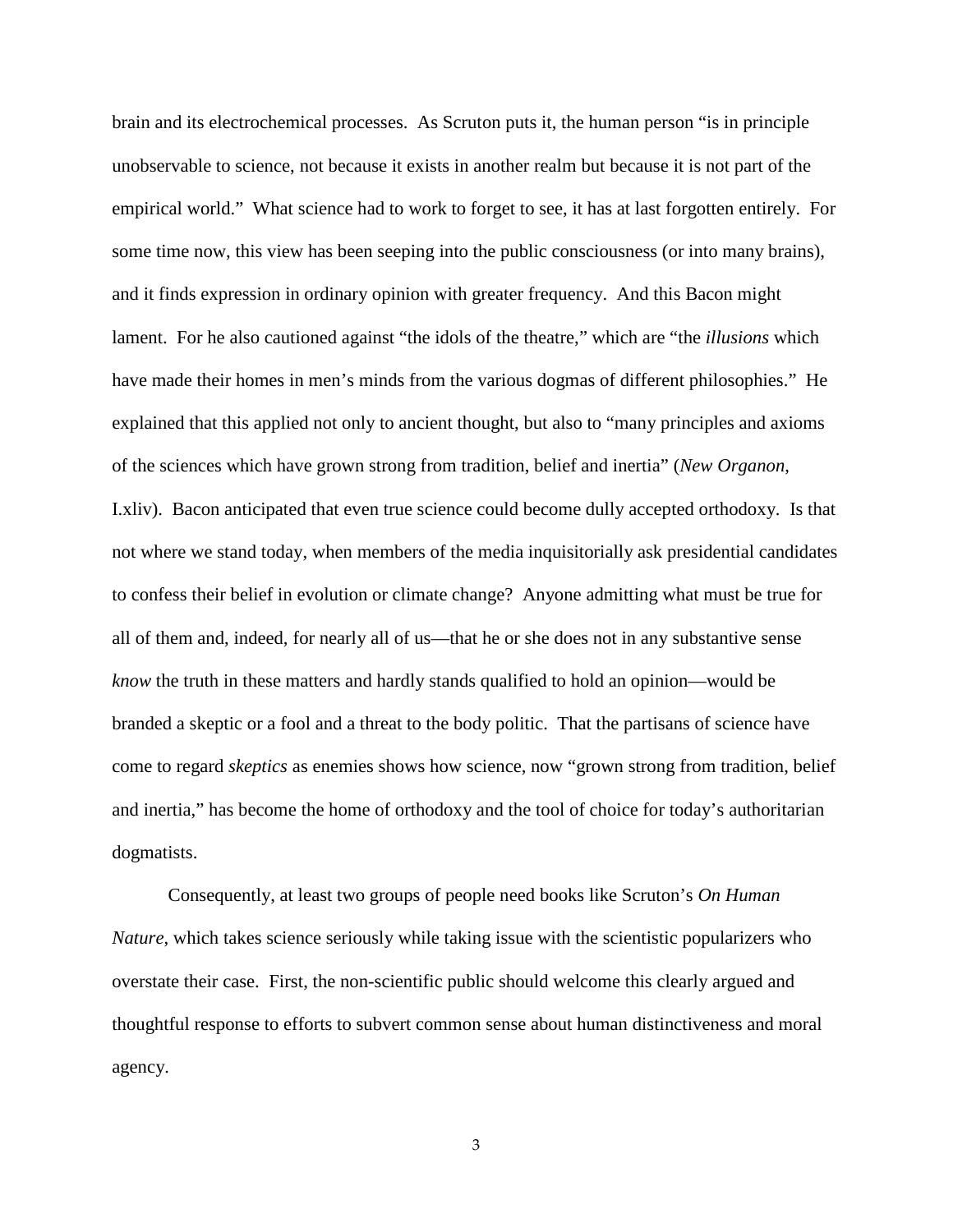brain and its electrochemical processes. As Scruton puts it, the human person "is in principle unobservable to science, not because it exists in another realm but because it is not part of the empirical world." What science had to work to forget to see, it has at last forgotten entirely. For some time now, this view has been seeping into the public consciousness (or into many brains), and it finds expression in ordinary opinion with greater frequency. And this Bacon might lament. For he also cautioned against "the idols of the theatre," which are "the *illusions* which have made their homes in men's minds from the various dogmas of different philosophies." He explained that this applied not only to ancient thought, but also to "many principles and axioms of the sciences which have grown strong from tradition, belief and inertia" (*New Organon*, I.xliv). Bacon anticipated that even true science could become dully accepted orthodoxy. Is that not where we stand today, when members of the media inquisitorially ask presidential candidates to confess their belief in evolution or climate change? Anyone admitting what must be true for all of them and, indeed, for nearly all of us—that he or she does not in any substantive sense *know* the truth in these matters and hardly stands qualified to hold an opinion—would be branded a skeptic or a fool and a threat to the body politic. That the partisans of science have come to regard *skeptics* as enemies shows how science, now "grown strong from tradition, belief and inertia," has become the home of orthodoxy and the tool of choice for today's authoritarian dogmatists.

Consequently, at least two groups of people need books like Scruton's *On Human Nature*, which takes science seriously while taking issue with the scientistic popularizers who overstate their case. First, the non-scientific public should welcome this clearly argued and thoughtful response to efforts to subvert common sense about human distinctiveness and moral agency.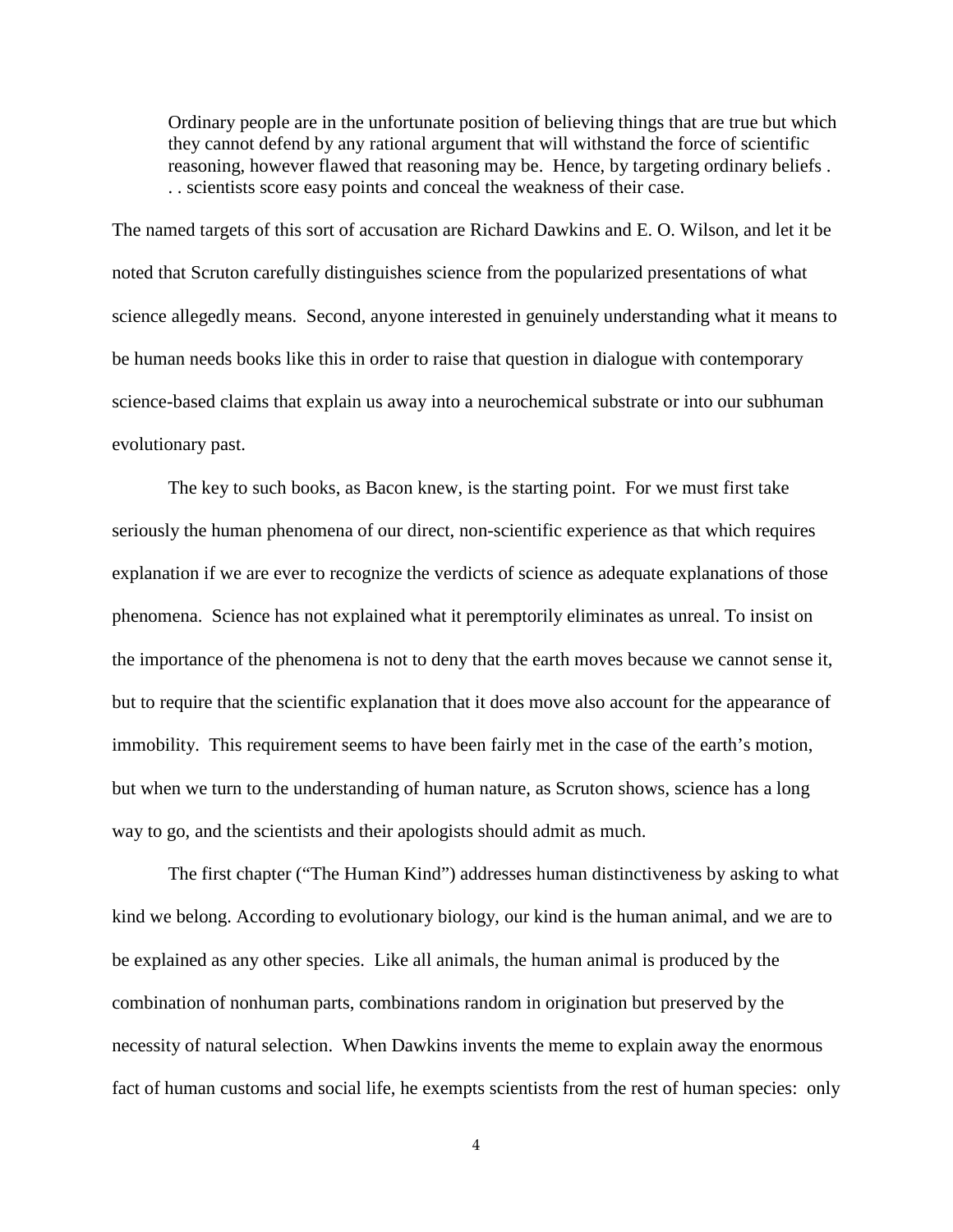Ordinary people are in the unfortunate position of believing things that are true but which they cannot defend by any rational argument that will withstand the force of scientific reasoning, however flawed that reasoning may be. Hence, by targeting ordinary beliefs . . . scientists score easy points and conceal the weakness of their case.

The named targets of this sort of accusation are Richard Dawkins and E. O. Wilson, and let it be noted that Scruton carefully distinguishes science from the popularized presentations of what science allegedly means. Second, anyone interested in genuinely understanding what it means to be human needs books like this in order to raise that question in dialogue with contemporary science-based claims that explain us away into a neurochemical substrate or into our subhuman evolutionary past.

The key to such books, as Bacon knew, is the starting point. For we must first take seriously the human phenomena of our direct, non-scientific experience as that which requires explanation if we are ever to recognize the verdicts of science as adequate explanations of those phenomena. Science has not explained what it peremptorily eliminates as unreal. To insist on the importance of the phenomena is not to deny that the earth moves because we cannot sense it, but to require that the scientific explanation that it does move also account for the appearance of immobility. This requirement seems to have been fairly met in the case of the earth's motion, but when we turn to the understanding of human nature, as Scruton shows, science has a long way to go, and the scientists and their apologists should admit as much.

The first chapter ("The Human Kind") addresses human distinctiveness by asking to what kind we belong. According to evolutionary biology, our kind is the human animal, and we are to be explained as any other species. Like all animals, the human animal is produced by the combination of nonhuman parts, combinations random in origination but preserved by the necessity of natural selection. When Dawkins invents the meme to explain away the enormous fact of human customs and social life, he exempts scientists from the rest of human species: only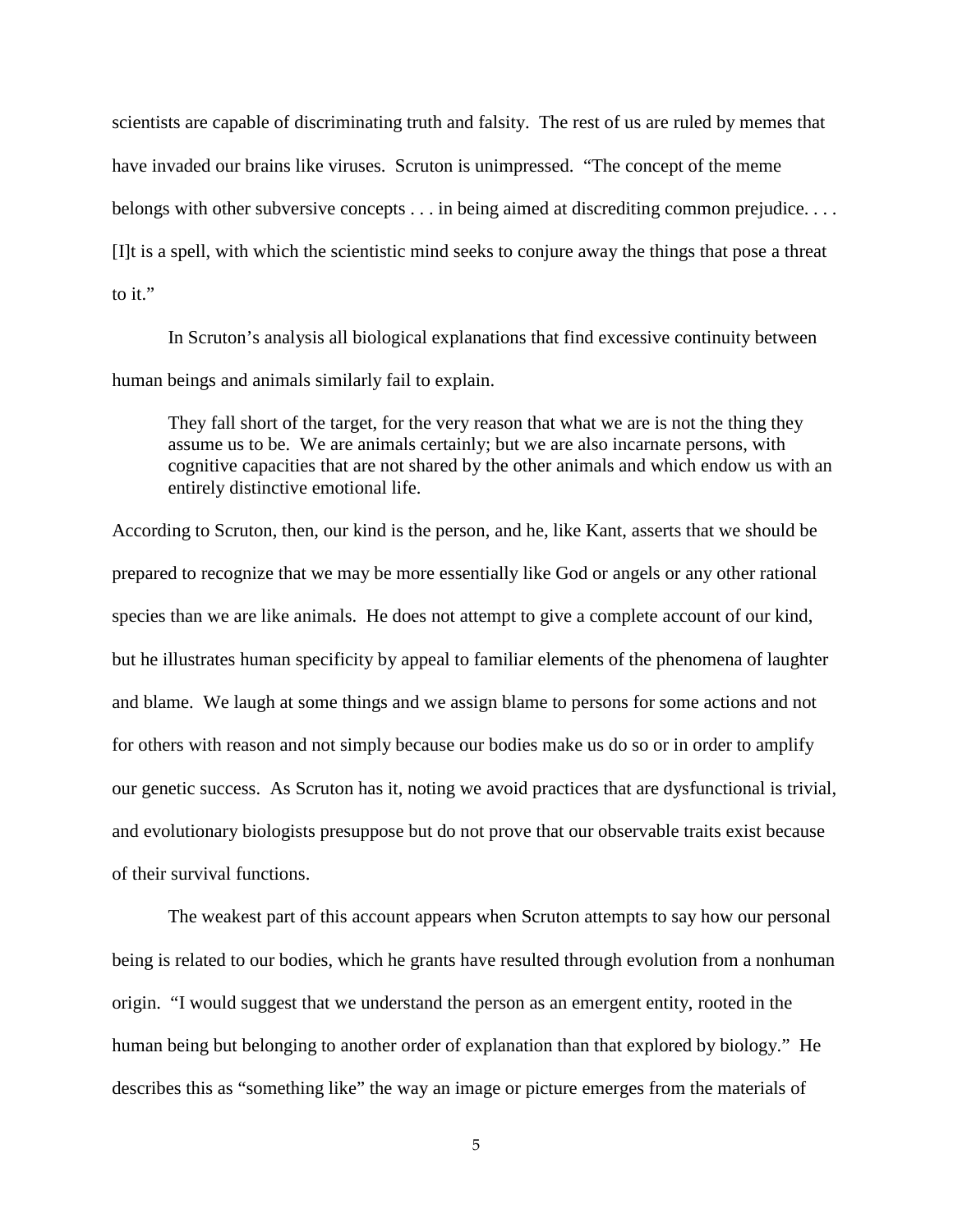scientists are capable of discriminating truth and falsity. The rest of us are ruled by memes that have invaded our brains like viruses. Scruton is unimpressed. "The concept of the meme belongs with other subversive concepts . . . in being aimed at discrediting common prejudice. . . . [I]t is a spell, with which the scientistic mind seeks to conjure away the things that pose a threat to it."

In Scruton's analysis all biological explanations that find excessive continuity between human beings and animals similarly fail to explain.

They fall short of the target, for the very reason that what we are is not the thing they assume us to be. We are animals certainly; but we are also incarnate persons, with cognitive capacities that are not shared by the other animals and which endow us with an entirely distinctive emotional life.

According to Scruton, then, our kind is the person, and he, like Kant, asserts that we should be prepared to recognize that we may be more essentially like God or angels or any other rational species than we are like animals. He does not attempt to give a complete account of our kind, but he illustrates human specificity by appeal to familiar elements of the phenomena of laughter and blame. We laugh at some things and we assign blame to persons for some actions and not for others with reason and not simply because our bodies make us do so or in order to amplify our genetic success. As Scruton has it, noting we avoid practices that are dysfunctional is trivial, and evolutionary biologists presuppose but do not prove that our observable traits exist because of their survival functions.

The weakest part of this account appears when Scruton attempts to say how our personal being is related to our bodies, which he grants have resulted through evolution from a nonhuman origin. "I would suggest that we understand the person as an emergent entity, rooted in the human being but belonging to another order of explanation than that explored by biology." He describes this as "something like" the way an image or picture emerges from the materials of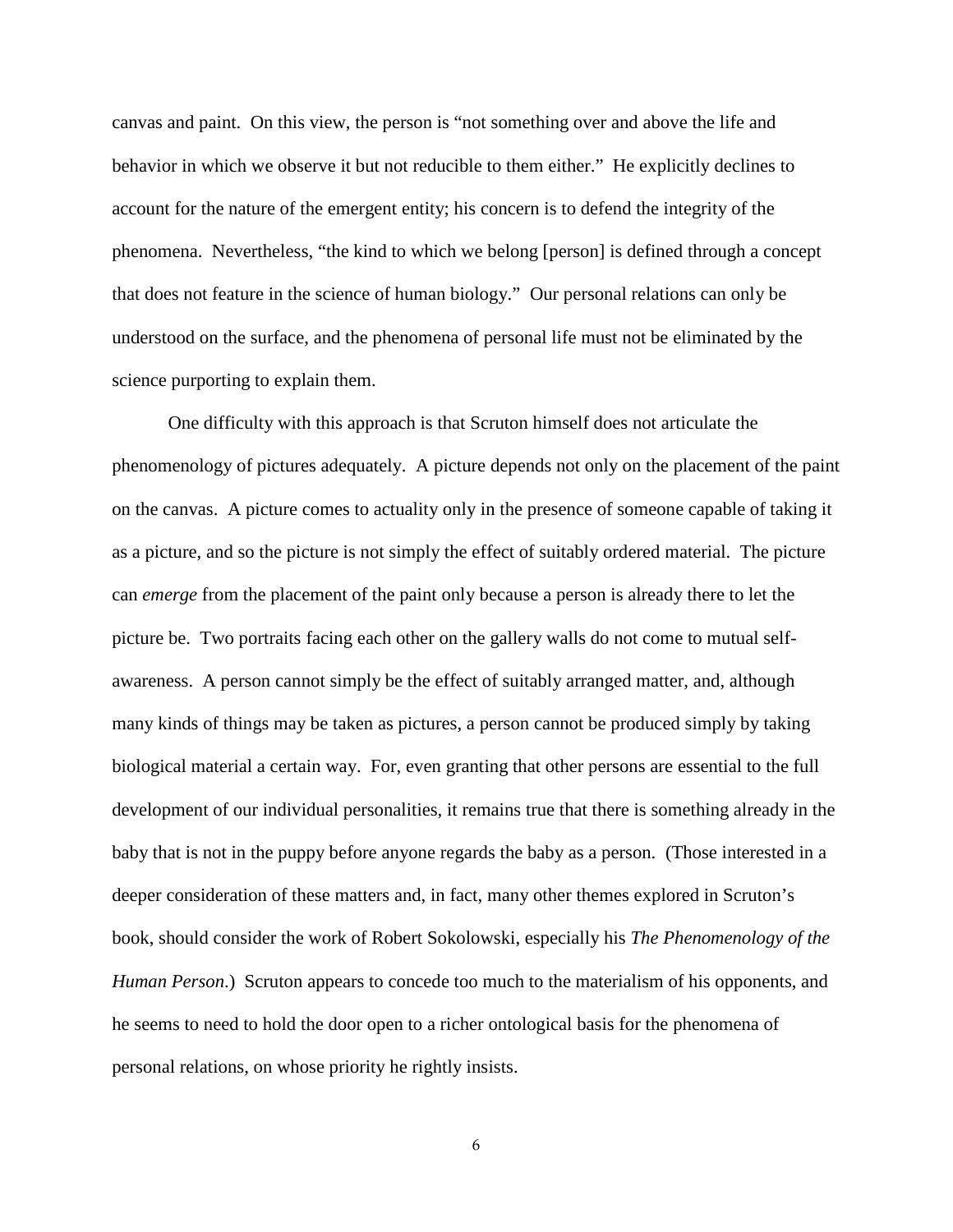canvas and paint. On this view, the person is "not something over and above the life and behavior in which we observe it but not reducible to them either." He explicitly declines to account for the nature of the emergent entity; his concern is to defend the integrity of the phenomena. Nevertheless, "the kind to which we belong [person] is defined through a concept that does not feature in the science of human biology." Our personal relations can only be understood on the surface, and the phenomena of personal life must not be eliminated by the science purporting to explain them.

One difficulty with this approach is that Scruton himself does not articulate the phenomenology of pictures adequately. A picture depends not only on the placement of the paint on the canvas. A picture comes to actuality only in the presence of someone capable of taking it as a picture, and so the picture is not simply the effect of suitably ordered material. The picture can *emerge* from the placement of the paint only because a person is already there to let the picture be. Two portraits facing each other on the gallery walls do not come to mutual selfawareness. A person cannot simply be the effect of suitably arranged matter, and, although many kinds of things may be taken as pictures, a person cannot be produced simply by taking biological material a certain way. For, even granting that other persons are essential to the full development of our individual personalities, it remains true that there is something already in the baby that is not in the puppy before anyone regards the baby as a person. (Those interested in a deeper consideration of these matters and, in fact, many other themes explored in Scruton's book, should consider the work of Robert Sokolowski, especially his *The Phenomenology of the Human Person*.) Scruton appears to concede too much to the materialism of his opponents, and he seems to need to hold the door open to a richer ontological basis for the phenomena of personal relations, on whose priority he rightly insists.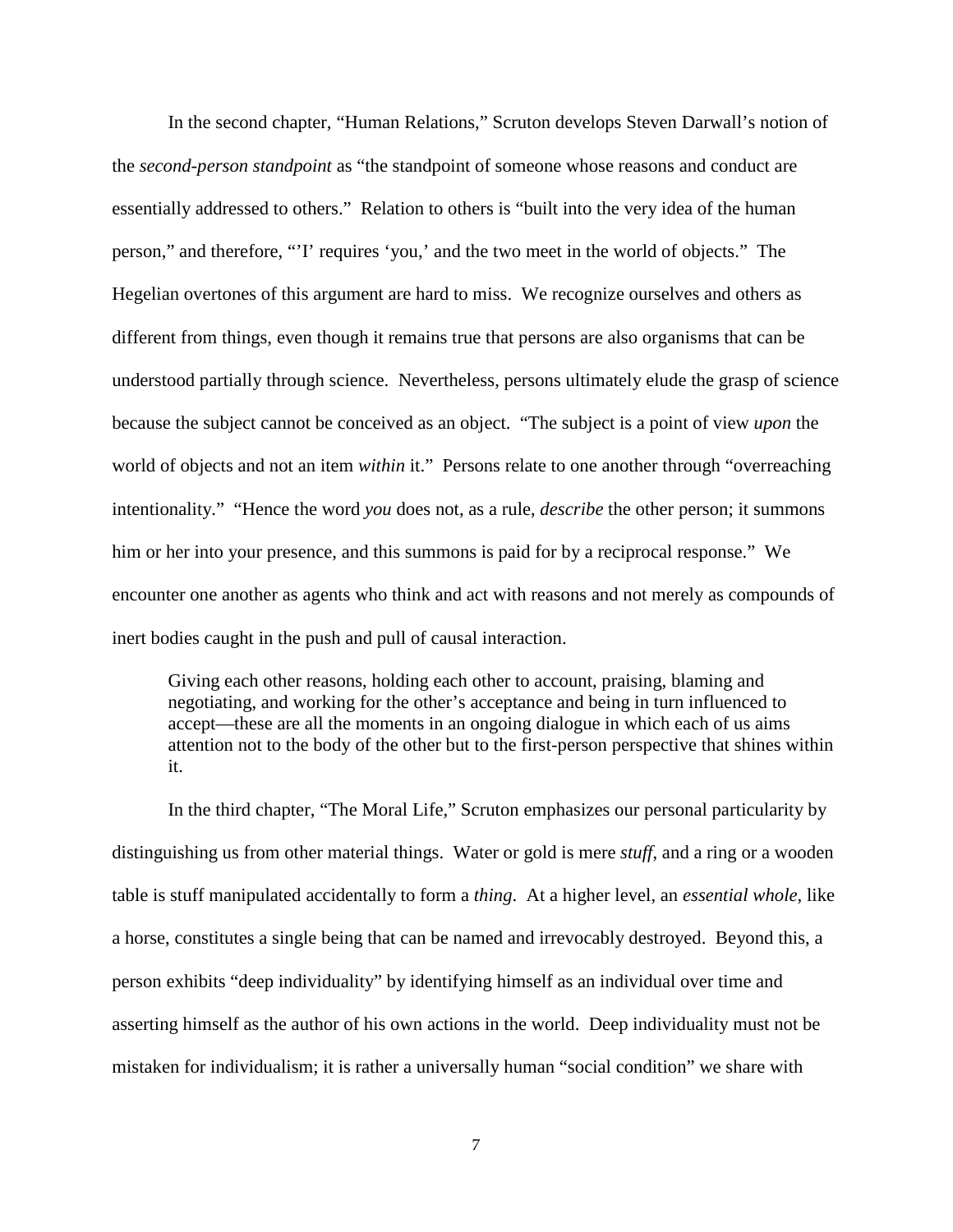In the second chapter, "Human Relations," Scruton develops Steven Darwall's notion of the *second-person standpoint* as "the standpoint of someone whose reasons and conduct are essentially addressed to others." Relation to others is "built into the very idea of the human person," and therefore, "'I' requires 'you,' and the two meet in the world of objects." The Hegelian overtones of this argument are hard to miss. We recognize ourselves and others as different from things, even though it remains true that persons are also organisms that can be understood partially through science. Nevertheless, persons ultimately elude the grasp of science because the subject cannot be conceived as an object. "The subject is a point of view *upon* the world of objects and not an item *within* it." Persons relate to one another through "overreaching intentionality." "Hence the word *you* does not, as a rule, *describe* the other person; it summons him or her into your presence, and this summons is paid for by a reciprocal response." We encounter one another as agents who think and act with reasons and not merely as compounds of inert bodies caught in the push and pull of causal interaction.

Giving each other reasons, holding each other to account, praising, blaming and negotiating, and working for the other's acceptance and being in turn influenced to accept—these are all the moments in an ongoing dialogue in which each of us aims attention not to the body of the other but to the first-person perspective that shines within it.

In the third chapter, "The Moral Life," Scruton emphasizes our personal particularity by distinguishing us from other material things. Water or gold is mere *stuff*, and a ring or a wooden table is stuff manipulated accidentally to form a *thing*. At a higher level, an *essential whole*, like a horse, constitutes a single being that can be named and irrevocably destroyed. Beyond this, a person exhibits "deep individuality" by identifying himself as an individual over time and asserting himself as the author of his own actions in the world. Deep individuality must not be mistaken for individualism; it is rather a universally human "social condition" we share with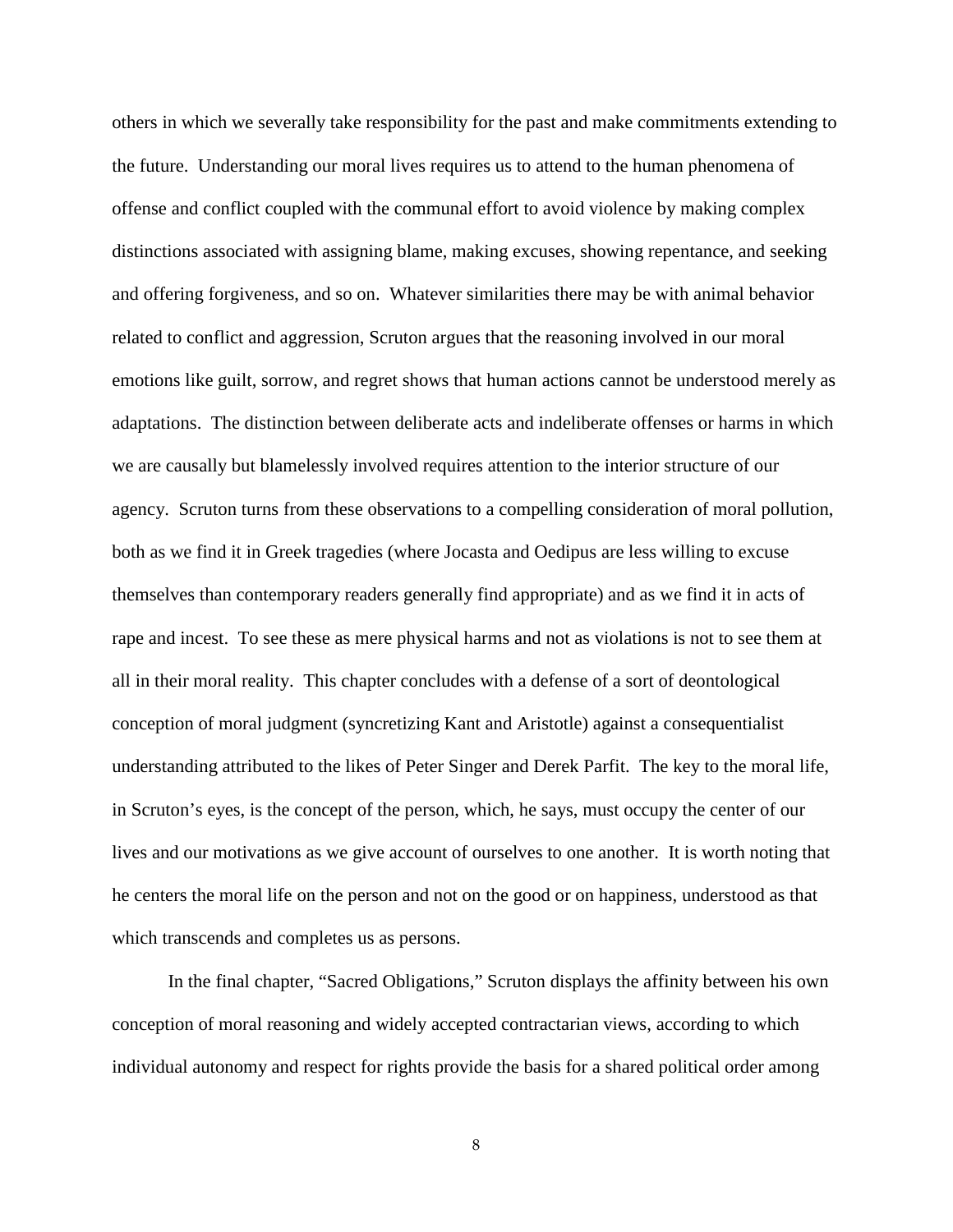others in which we severally take responsibility for the past and make commitments extending to the future. Understanding our moral lives requires us to attend to the human phenomena of offense and conflict coupled with the communal effort to avoid violence by making complex distinctions associated with assigning blame, making excuses, showing repentance, and seeking and offering forgiveness, and so on. Whatever similarities there may be with animal behavior related to conflict and aggression, Scruton argues that the reasoning involved in our moral emotions like guilt, sorrow, and regret shows that human actions cannot be understood merely as adaptations. The distinction between deliberate acts and indeliberate offenses or harms in which we are causally but blamelessly involved requires attention to the interior structure of our agency. Scruton turns from these observations to a compelling consideration of moral pollution, both as we find it in Greek tragedies (where Jocasta and Oedipus are less willing to excuse themselves than contemporary readers generally find appropriate) and as we find it in acts of rape and incest. To see these as mere physical harms and not as violations is not to see them at all in their moral reality. This chapter concludes with a defense of a sort of deontological conception of moral judgment (syncretizing Kant and Aristotle) against a consequentialist understanding attributed to the likes of Peter Singer and Derek Parfit. The key to the moral life, in Scruton's eyes, is the concept of the person, which, he says, must occupy the center of our lives and our motivations as we give account of ourselves to one another. It is worth noting that he centers the moral life on the person and not on the good or on happiness, understood as that which transcends and completes us as persons.

In the final chapter, "Sacred Obligations," Scruton displays the affinity between his own conception of moral reasoning and widely accepted contractarian views, according to which individual autonomy and respect for rights provide the basis for a shared political order among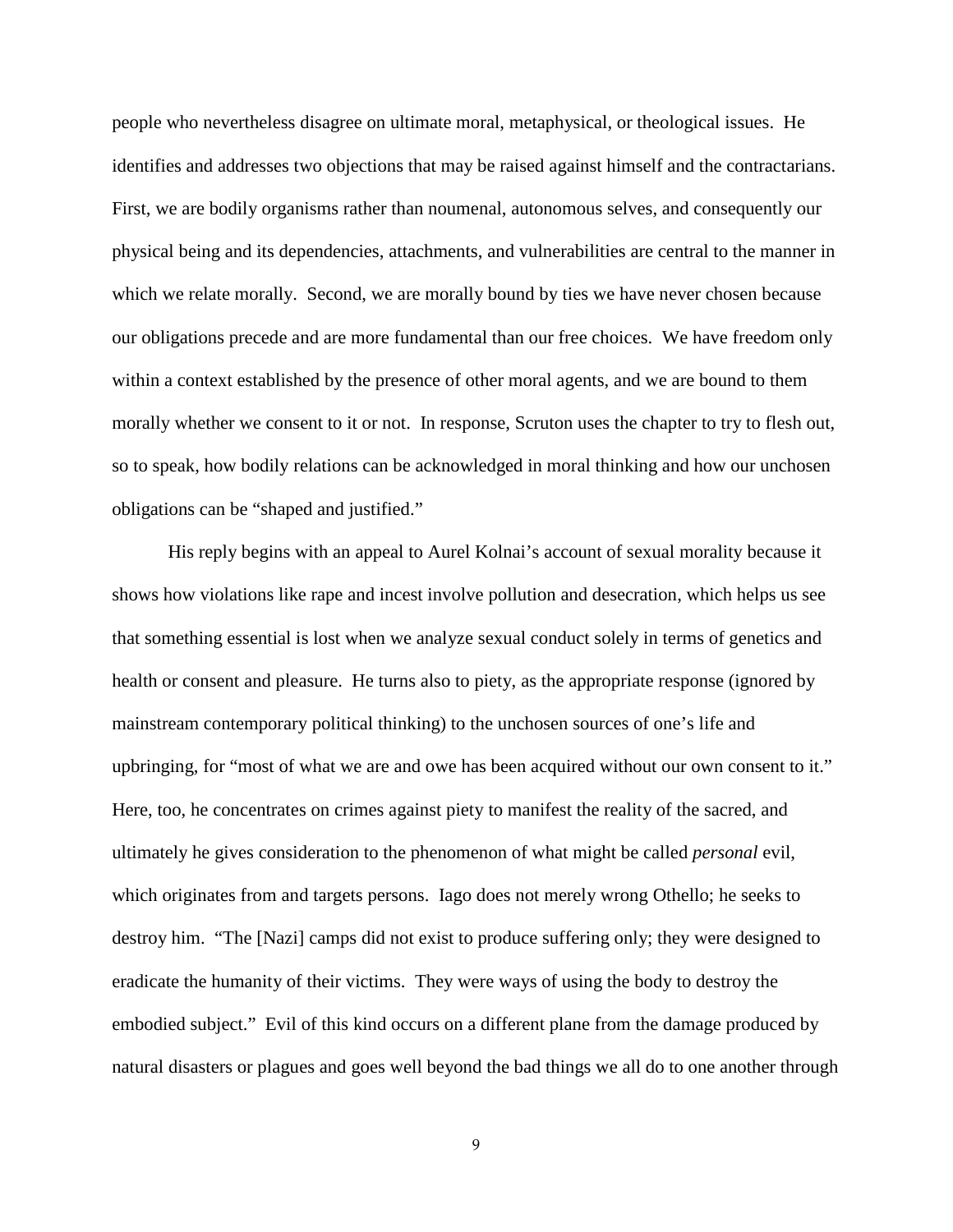people who nevertheless disagree on ultimate moral, metaphysical, or theological issues. He identifies and addresses two objections that may be raised against himself and the contractarians. First, we are bodily organisms rather than noumenal, autonomous selves, and consequently our physical being and its dependencies, attachments, and vulnerabilities are central to the manner in which we relate morally. Second, we are morally bound by ties we have never chosen because our obligations precede and are more fundamental than our free choices. We have freedom only within a context established by the presence of other moral agents, and we are bound to them morally whether we consent to it or not. In response, Scruton uses the chapter to try to flesh out, so to speak, how bodily relations can be acknowledged in moral thinking and how our unchosen obligations can be "shaped and justified."

His reply begins with an appeal to Aurel Kolnai's account of sexual morality because it shows how violations like rape and incest involve pollution and desecration, which helps us see that something essential is lost when we analyze sexual conduct solely in terms of genetics and health or consent and pleasure. He turns also to piety, as the appropriate response (ignored by mainstream contemporary political thinking) to the unchosen sources of one's life and upbringing, for "most of what we are and owe has been acquired without our own consent to it." Here, too, he concentrates on crimes against piety to manifest the reality of the sacred, and ultimately he gives consideration to the phenomenon of what might be called *personal* evil, which originates from and targets persons. Iago does not merely wrong Othello; he seeks to destroy him. "The [Nazi] camps did not exist to produce suffering only; they were designed to eradicate the humanity of their victims. They were ways of using the body to destroy the embodied subject." Evil of this kind occurs on a different plane from the damage produced by natural disasters or plagues and goes well beyond the bad things we all do to one another through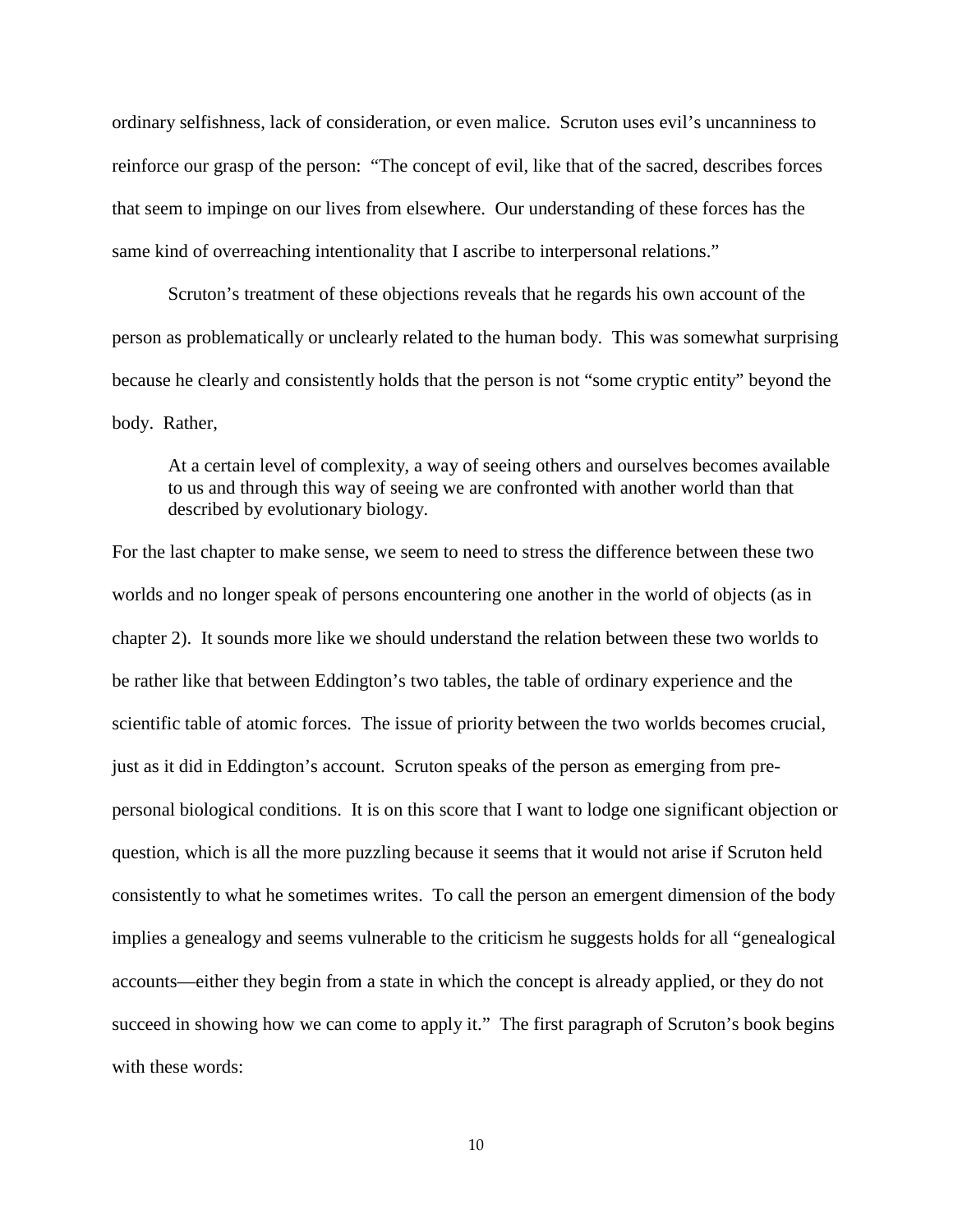ordinary selfishness, lack of consideration, or even malice. Scruton uses evil's uncanniness to reinforce our grasp of the person: "The concept of evil, like that of the sacred, describes forces that seem to impinge on our lives from elsewhere. Our understanding of these forces has the same kind of overreaching intentionality that I ascribe to interpersonal relations."

Scruton's treatment of these objections reveals that he regards his own account of the person as problematically or unclearly related to the human body. This was somewhat surprising because he clearly and consistently holds that the person is not "some cryptic entity" beyond the body. Rather,

At a certain level of complexity, a way of seeing others and ourselves becomes available to us and through this way of seeing we are confronted with another world than that described by evolutionary biology.

For the last chapter to make sense, we seem to need to stress the difference between these two worlds and no longer speak of persons encountering one another in the world of objects (as in chapter 2). It sounds more like we should understand the relation between these two worlds to be rather like that between Eddington's two tables, the table of ordinary experience and the scientific table of atomic forces. The issue of priority between the two worlds becomes crucial, just as it did in Eddington's account. Scruton speaks of the person as emerging from prepersonal biological conditions. It is on this score that I want to lodge one significant objection or question, which is all the more puzzling because it seems that it would not arise if Scruton held consistently to what he sometimes writes. To call the person an emergent dimension of the body implies a genealogy and seems vulnerable to the criticism he suggests holds for all "genealogical accounts—either they begin from a state in which the concept is already applied, or they do not succeed in showing how we can come to apply it." The first paragraph of Scruton's book begins with these words: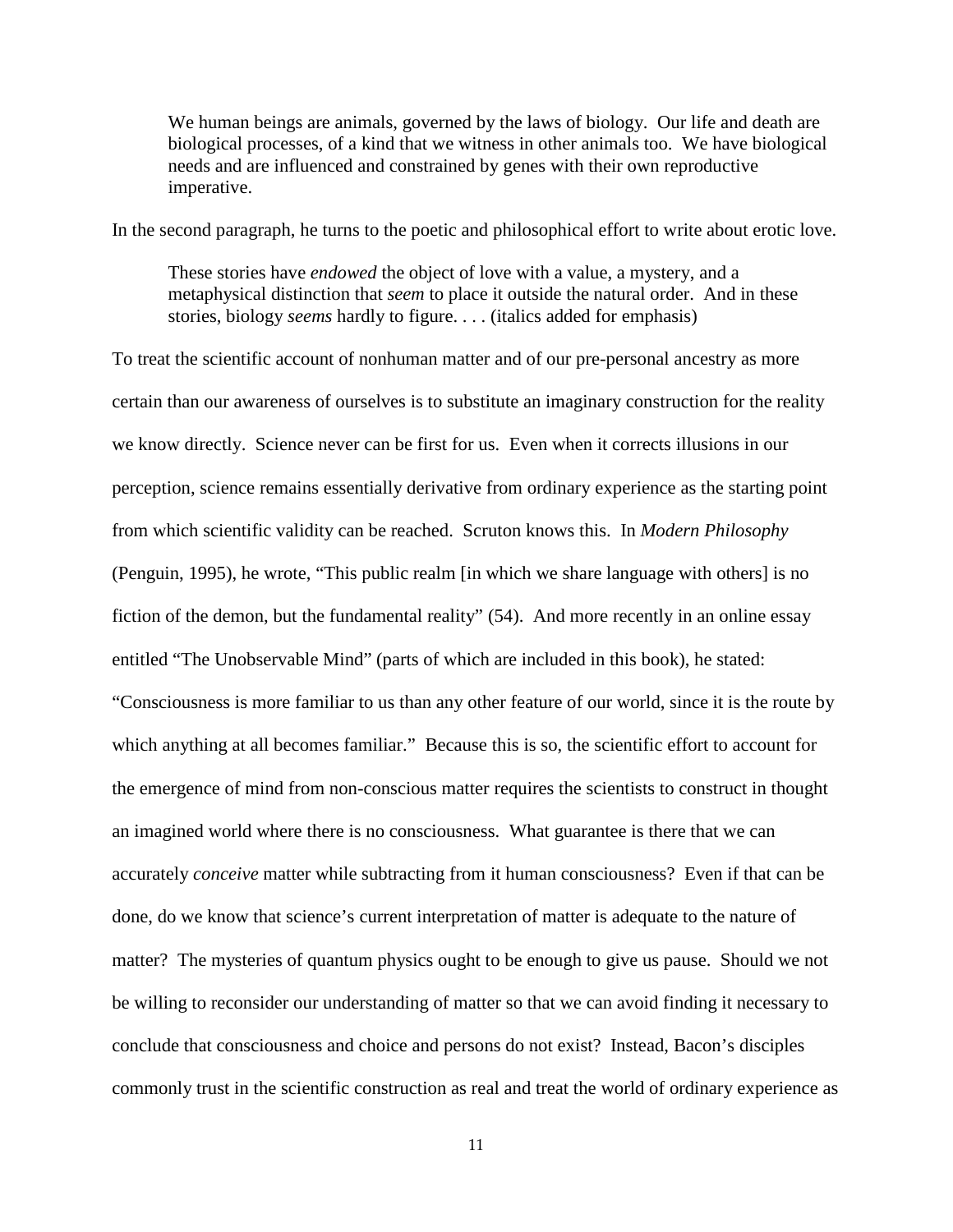We human beings are animals, governed by the laws of biology. Our life and death are biological processes, of a kind that we witness in other animals too. We have biological needs and are influenced and constrained by genes with their own reproductive imperative.

In the second paragraph, he turns to the poetic and philosophical effort to write about erotic love.

These stories have *endowed* the object of love with a value, a mystery, and a metaphysical distinction that *seem* to place it outside the natural order. And in these stories, biology *seems* hardly to figure. . . . (italics added for emphasis)

To treat the scientific account of nonhuman matter and of our pre-personal ancestry as more certain than our awareness of ourselves is to substitute an imaginary construction for the reality we know directly. Science never can be first for us. Even when it corrects illusions in our perception, science remains essentially derivative from ordinary experience as the starting point from which scientific validity can be reached. Scruton knows this. In *Modern Philosophy* (Penguin, 1995), he wrote, "This public realm [in which we share language with others] is no fiction of the demon, but the fundamental reality" (54). And more recently in an online essay entitled "The Unobservable Mind" (parts of which are included in this book), he stated: "Consciousness is more familiar to us than any other feature of our world, since it is the route by which anything at all becomes familiar." Because this is so, the scientific effort to account for the emergence of mind from non-conscious matter requires the scientists to construct in thought an imagined world where there is no consciousness. What guarantee is there that we can accurately *conceive* matter while subtracting from it human consciousness? Even if that can be done, do we know that science's current interpretation of matter is adequate to the nature of matter? The mysteries of quantum physics ought to be enough to give us pause. Should we not be willing to reconsider our understanding of matter so that we can avoid finding it necessary to conclude that consciousness and choice and persons do not exist? Instead, Bacon's disciples commonly trust in the scientific construction as real and treat the world of ordinary experience as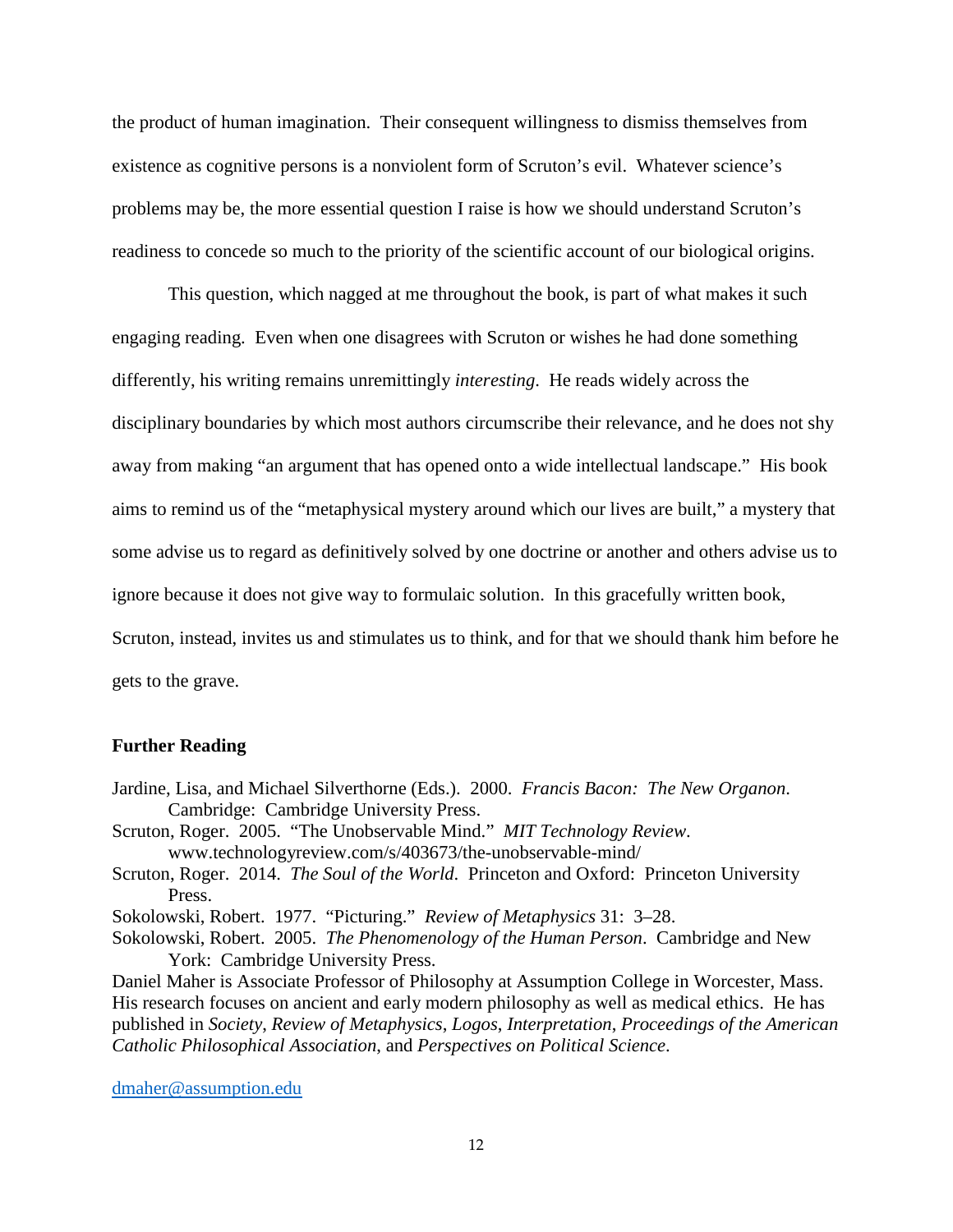the product of human imagination. Their consequent willingness to dismiss themselves from existence as cognitive persons is a nonviolent form of Scruton's evil. Whatever science's problems may be, the more essential question I raise is how we should understand Scruton's readiness to concede so much to the priority of the scientific account of our biological origins.

This question, which nagged at me throughout the book, is part of what makes it such engaging reading. Even when one disagrees with Scruton or wishes he had done something differently, his writing remains unremittingly *interesting*. He reads widely across the disciplinary boundaries by which most authors circumscribe their relevance, and he does not shy away from making "an argument that has opened onto a wide intellectual landscape." His book aims to remind us of the "metaphysical mystery around which our lives are built," a mystery that some advise us to regard as definitively solved by one doctrine or another and others advise us to ignore because it does not give way to formulaic solution. In this gracefully written book, Scruton, instead, invites us and stimulates us to think, and for that we should thank him before he gets to the grave.

## **Further Reading**

- Jardine, Lisa, and Michael Silverthorne (Eds.). 2000. *Francis Bacon: The New Organon*. Cambridge: Cambridge University Press.
- Scruton, Roger. 2005. "The Unobservable Mind." *MIT Technology Review*. www.technologyreview.com/s/403673/the-unobservable-mind/
- Scruton, Roger. 2014. *The Soul of the World*. Princeton and Oxford: Princeton University Press.

Sokolowski, Robert. 1977. "Picturing." *Review of Metaphysics* 31: 3–28.

Sokolowski, Robert. 2005. *The Phenomenology of the Human Person*. Cambridge and New York: Cambridge University Press.

Daniel Maher is Associate Professor of Philosophy at Assumption College in Worcester, Mass. His research focuses on ancient and early modern philosophy as well as medical ethics. He has published in *Society*, *Review of Metaphysics*, *Logos*, *Interpretation*, *Proceedings of the American Catholic Philosophical Association*, and *Perspectives on Political Science*.

[dmaher@assumption.edu](mailto:dmaher@assumption.edu)